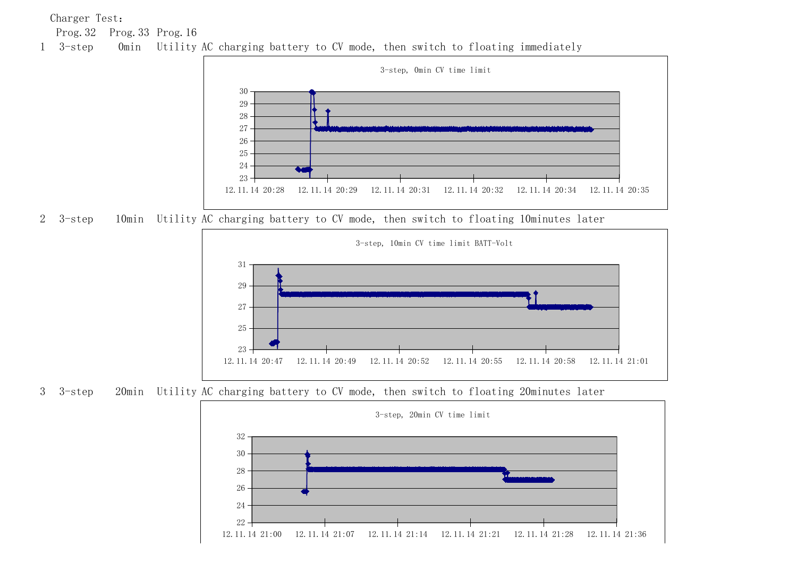Charger Test:

Prog.32 Prog.33 Prog.16





3-step 10min Utility AC charging battery to CV mode, then switch to floating 10minutes later



3-step 20min Utility AC charging battery to CV mode, then switch to floating 20minutes later

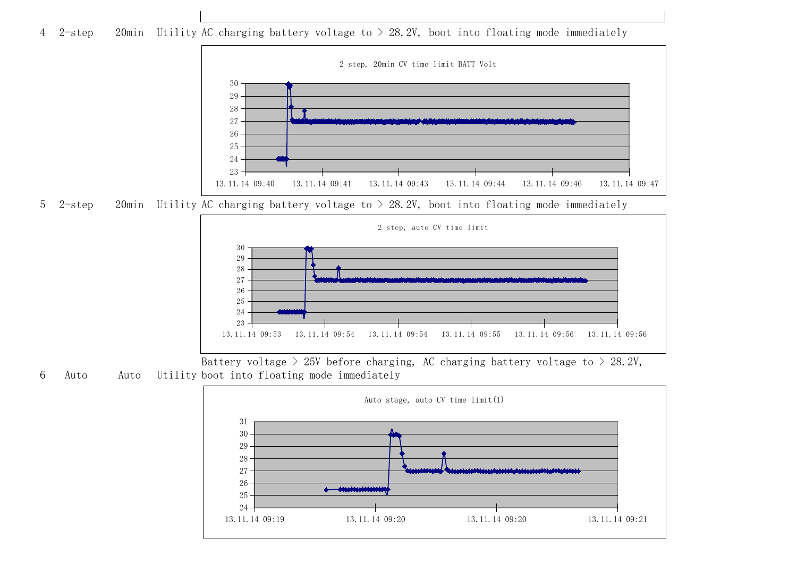2-step 20min Utility AC charging battery voltage to > 28.2V, boot into floating mode immediately



5 2-step 20min Utility AC charging battery voltage to  $> 28.2V$ , boot into floating mode immediately



 Auto Auto Utility boot into floating mode immediately Battery voltage  $> 25V$  before charging, AC charging battery voltage to  $> 28.2V$ ,

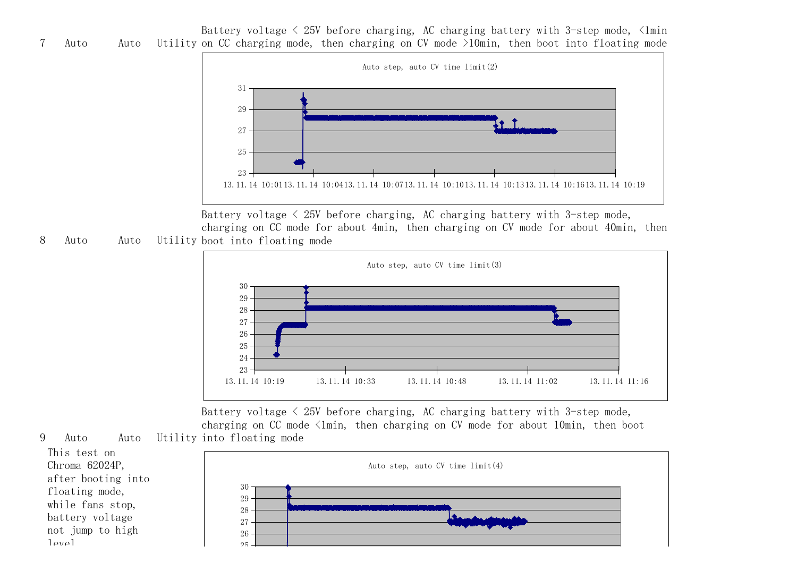7 Auto Auto Utility on CC charging mode, then charging on CV mode >10min, then boot into floating mode Battery voltage  $\leq 25V$  before charging, AC charging battery with 3-step mode,  $\leq$ 1min



8 Auto Auto Utility boot into floating mode Battery voltage  $\leq$  25V before charging, AC charging battery with 3-step mode, charging on CC mode for about 4min, then charging on CV mode for about 40min, then



9 Auto Auto Utility into floating mode Battery voltage  $\leq$  25V before charging, AC charging battery with 3-step mode, charging on  $CC$  mode  $\langle$ 1min, then charging on  $CV$  mode for about 10min, then boot



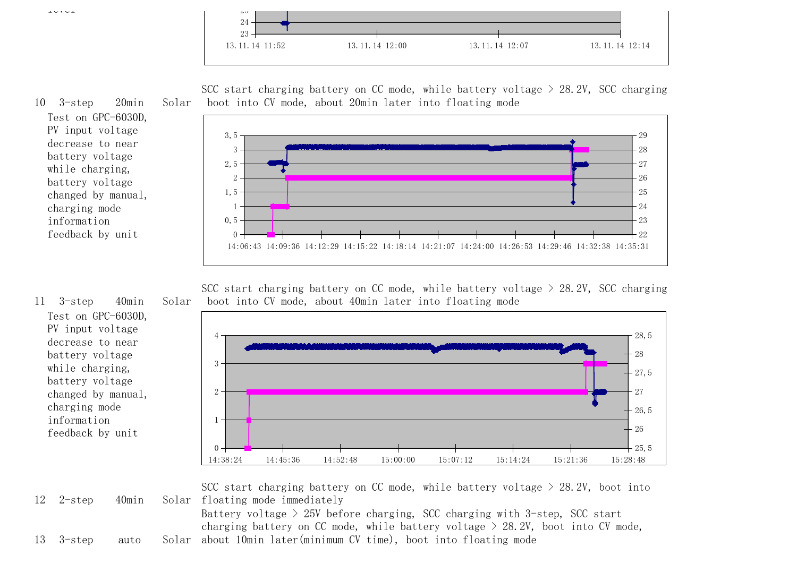



SCC start charging battery on CC mode, while battery voltage  $>$  28.2V, SCC charging boot into CV mode, about 20min later into floating mode



Test on GPC-6030D, PV input voltage decrease to near battery voltage while charging, battery voltage changed by manual, charging mode information feedback by unit

10 3-step 20min Solar

SCC start charging battery on CC mode, while battery voltage  $>$  28.2V, SCC charging boot into CV mode, about 40min later into floating mode

14:38:24 14:45:36 14:52:48 15:00:00 15:07:12 15:14:24 15:21:36 15:28:48  $0<sup>-1</sup>$ 1 2 3 4  $+25,5$  $+26$  $+26.5$ 27  $-27,5$ 28 28,5

11 3-step 40min Solar Test on GPC-6030D, PV input voltage decrease to near battery voltage while charging, battery voltage changed by manual, charging mode information feedback by unit

 $12$   $2$ -step  $40$ min SCC start charging battery on CC mode, while battery voltage  $>$  28.2V, boot into Solar floating mode immediately Battery voltage  $>$  25V before charging, SCC charging with 3-step, SCC start

charging battery on CC mode, while battery voltage  $>$  28.2V, boot into CV mode,

 $13$   $3$ -step auto about 10min later(minimum CV time), boot into floating mode